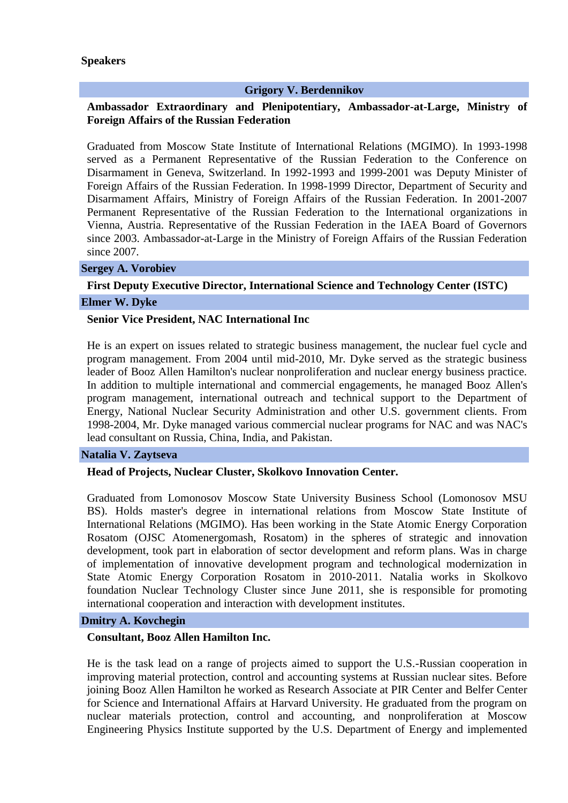### **Speakers**

## **Grigory V. Berdennikov**

## **Ambassador Extraordinary and Plenipotentiary, Ambassador-at-Large, Ministry of Foreign Affairs of the Russian Federation**

Graduated from Moscow State Institute of International Relations (MGIMO). In 1993-1998 served as a Permanent Representative of the Russian Federation to the Conference on Disarmament in Geneva, Switzerland. In 1992-1993 and 1999-2001 was Deputy Minister of Foreign Affairs of the Russian Federation. In 1998-1999 Director, Department of Security and Disarmament Affairs, Ministry of Foreign Affairs of the Russian Federation. In 2001-2007 Permanent Representative of the Russian Federation to the International organizations in Vienna, Austria. Representative of the Russian Federation in the IAEA Board of Governors since 2003. Ambassador-at-Large in the Ministry of Foreign Affairs of the Russian Federation since 2007.

### **Sergey A. Vorobiev**

# **First Deputy Executive Director, International Science and Technology Center (ISTC) Elmer W. Dyke**

#### **Senior Vice President, NAC International Inc**

He is an expert on issues related to strategic business management, the nuclear fuel cycle and program management. From 2004 until mid-2010, Mr. Dyke served as the strategic business leader of Booz Allen Hamilton's nuclear nonproliferation and nuclear energy business practice. In addition to multiple international and commercial engagements, he managed Booz Allen's program management, international outreach and technical support to the Department of Energy, National Nuclear Security Administration and other U.S. government clients. From 1998-2004, Mr. Dyke managed various commercial nuclear programs for NAC and was NAC's lead consultant on Russia, China, India, and Pakistan.

#### **Natalia V. Zaytseva**

### **Head of Projects, Nuclear Cluster, Skolkovo Innovation Center.**

Graduated from Lomonosov Moscow State University Business School (Lomonosov MSU BS). Holds master's degree in international relations from Moscow State Institute of International Relations (MGIMO). Has been working in the State Atomic Energy Corporation Rosatom (OJSC Atomenergomash, Rosatom) in the spheres of strategic and innovation development, took part in elaboration of sector development and reform plans. Was in charge of implementation of innovative development program and technological modernization in State Atomic Energy Corporation Rosatom in 2010-2011. Natalia works in Skolkovo foundation Nuclear Technology Cluster since June 2011, she is responsible for promoting international cooperation and interaction with development institutes.

#### **Dmitry A. Kovchegin**

#### **Consultant, Booz Allen Hamilton Inc.**

He is the task lead on a range of projects aimed to support the U.S.-Russian cooperation in improving material protection, control and accounting systems at Russian nuclear sites. Before joining Booz Allen Hamilton he worked as Research Associate at PIR Center and Belfer Center for Science and International Affairs at Harvard University. He graduated from the program on nuclear materials protection, control and accounting, and nonproliferation at Moscow Engineering Physics Institute supported by the U.S. Department of Energy and implemented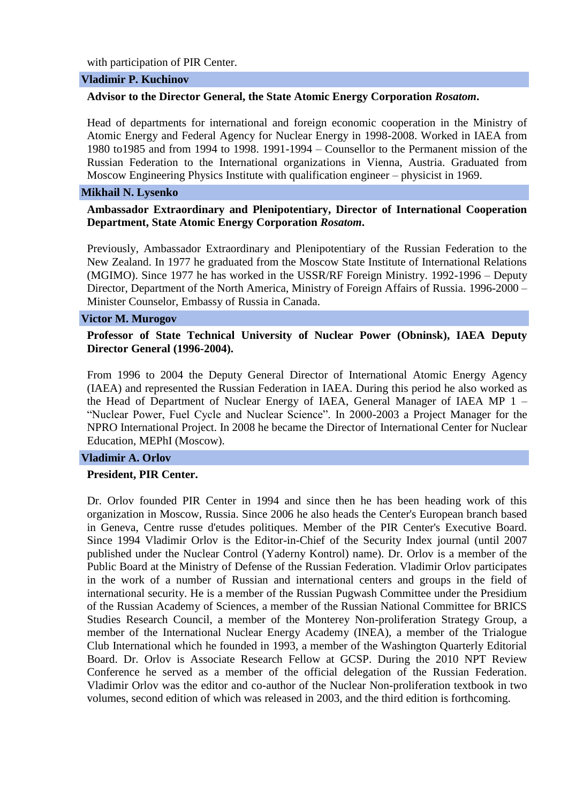with participation of PIR Center.

#### **Vladimir P. Kuchinov**

## **Advisor to the Director General, the State Atomic Energy Corporation** *Rosatom***.**

Head of departments for international and foreign economic cooperation in the Ministry of Atomic Energy and Federal Agency for Nuclear Energy in 1998-2008. Worked in IAEA from 1980 to1985 and from 1994 to 1998. 1991-1994 – Counsellor to the Permanent mission of the Russian Federation to the International organizations in Vienna, Austria. Graduated from Moscow Engineering Physics Institute with qualification engineer – physicist in 1969.

#### **Mikhail N. Lysenko**

## **Ambassador Extraordinary and Plenipotentiary, Director of International Cooperation Department, State Atomic Energy Corporation** *Rosatom***.**

Previously, Ambassador Extraordinary and Plenipotentiary of the Russian Federation to the New Zealand. In 1977 he graduated from the Moscow State Institute of International Relations (MGIMO). Since 1977 he has worked in the USSR/RF Foreign Ministry. 1992-1996 – Deputy Director, Department of the North America, Ministry of Foreign Affairs of Russia. 1996-2000 – Minister Counselor, Embassy of Russia in Canada.

### **Victor M. Murogov**

## **Professor of State Technical University of Nuclear Power (Obninsk), IAEA Deputy Director General (1996-2004).**

From 1996 to 2004 the Deputy General Director of International Atomic Energy Agency (IAEA) and represented the Russian Federation in IAEA. During this period he also worked as the Head of Department of Nuclear Energy of IAEA, General Manager of IAEA MP 1 – "Nuclear Power, Fuel Cycle and Nuclear Science". In 2000-2003 a Project Manager for the NPRO International Project. In 2008 he became the Director of International Center for Nuclear Education, MEPhI (Moscow).

#### **Vladimir A. Orlov**

### **President, PIR Center.**

Dr. Orlov founded PIR Center in 1994 and since then he has been heading work of this organization in Moscow, Russia. Since 2006 he also heads the Center's European branch based in Geneva, Centre russe d'etudes politiques. Member of the PIR Center's Executive Board. Since 1994 Vladimir Orlov is the Editor-in-Chief of the Security Index journal (until 2007 published under the Nuclear Control (Yaderny Kontrol) name). Dr. Orlov is a member of the Public Board at the Ministry of Defense of the Russian Federation. Vladimir Orlov participates in the work of a number of Russian and international centers and groups in the field of international security. He is a member of the Russian Pugwash Committee under the Presidium of the Russian Academy of Sciences, a member of the Russian National Committee for BRICS Studies Research Council, a member of the Monterey Non-proliferation Strategy Group, a member of the International Nuclear Energy Academy (INEA), a member of the Trialogue Club International which he founded in 1993, a member of the Washington Quarterly Editorial Board. Dr. Orlov is Associate Research Fellow at GCSP. During the 2010 NPT Review Conference he served as a member of the official delegation of the Russian Federation. Vladimir Orlov was the editor and co-author of the Nuclear Non-proliferation textbook in two volumes, second edition of which was released in 2003, and the third edition is forthcoming.